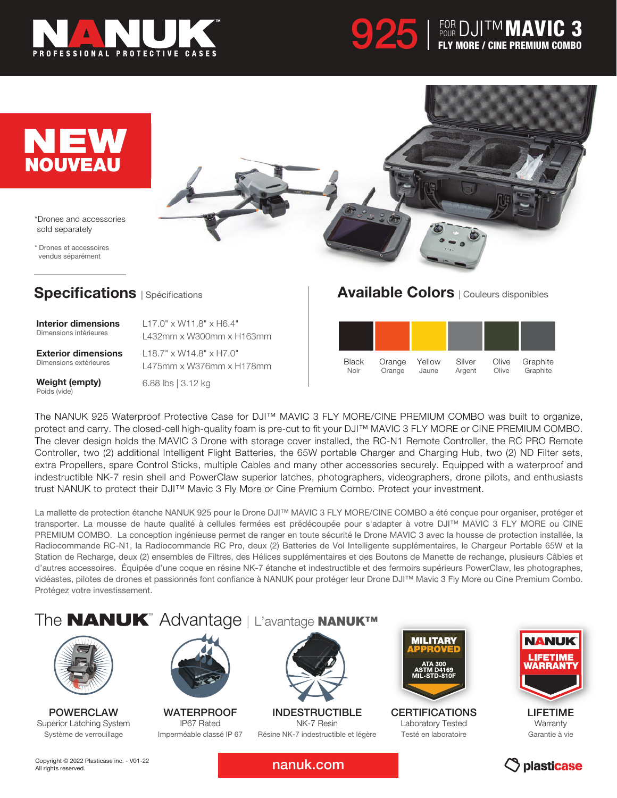







\*Drones and accessories sold separately

\* Drones et accessoires vendus séparément

## **Specifications** | Spécifications

Interior dimensions Dimensions intérieures

L17.0" x W11.8" x H6.4" L432mm x W300mm x H163mm

Exterior dimensions Dimensions extérieures

L475mm x W376mm x H178mm 6.88 lbs | 3.12 kg

L18.7" x W14.8" x H7.0"

## Available Colors | Couleurs disponibles



Weight (empty) Poids (vide)

The NANUK 925 Waterproof Protective Case for DJI™ MAVIC 3 FLY MORE/CINE PREMIUM COMBO was built to organize, protect and carry. The closed-cell high-quality foam is pre-cut to fit your DJI™ MAVIC 3 FLY MORE or CINE PREMIUM COMBO. The clever design holds the MAVIC 3 Drone with storage cover installed, the RC-N1 Remote Controller, the RC PRO Remote Controller, two (2) additional Intelligent Flight Batteries, the 65W portable Charger and Charging Hub, two (2) ND Filter sets, extra Propellers, spare Control Sticks, multiple Cables and many other accessories securely. Equipped with a waterproof and indestructible NK-7 resin shell and PowerClaw superior latches, photographers, videographers, drone pilots, and enthusiasts trust NANUK to protect their DJI™ Mavic 3 Fly More or Cine Premium Combo. Protect your investment.

La mallette de protection étanche NANUK 925 pour le Drone DJI™ MAVIC 3 FLY MORE/CINE COMBO a été conçue pour organiser, protéger et transporter. La mousse de haute qualité à cellules fermées est prédécoupée pour s'adapter à votre DJI™ MAVIC 3 FLY MORE ou CINE PREMIUM COMBO. La conception ingénieuse permet de ranger en toute sécurité le Drone MAVIC 3 avec la housse de protection installée, la Radiocommande RC-N1, la Radiocommande RC Pro, deux (2) Batteries de Vol Intelligente supplémentaires, le Chargeur Portable 65W et la Station de Recharge, deux (2) ensembles de Filtres, des Hélices supplémentaires et des Boutons de Manette de rechange, plusieurs Câbles et d'autres accessoires. Équipée d'une coque en résine NK-7 étanche et indestructible et des fermoirs supérieurs PowerClaw, les photographes, vidéastes, pilotes de drones et passionnés font confiance à NANUK pour protéger leur Drone DJI™ Mavic 3 Fly More ou Cine Premium Combo. Protégez votre investissement.

# The **NANUK**™ Advantage | L'avantage NANUK™



POWERCLAW Superior Latching System Système de verrouillage



WATERPROOF IP67 Rated Imperméable classé IP 67



**INDESTRUCTIBLE** NK-7 Resin Résine NK-7 indestructible et légère



**CERTIFICATIONS** Laboratory Tested Testé en laboratoire



LIFETIME **Warranty** Garantie à vie